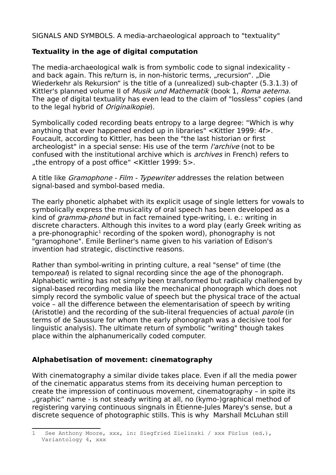SIGNALS AND SYMBOLS. A media-archaeological approach to "textuality"

# **Textuality in the age of digital computation**

The media-archaeological walk is from symbolic code to signal indexicality and back again. This re/turn is, in non-historic terms, "recursion". "Die Wiederkehr als Rekursion" is the title of a (unrealized) sub-chapter (5.3.1.3) of Kittler's planned volume II of Musik und Mathematik (book 1, Roma aeterna. The age of digital textuality has even lead to the claim of "lossless" copies (and to the legal hybrid of *Originalkopie*).

Symbolically coded recording beats entropy to a large degree: "Which is why anything that ever happened ended up in libraries" <Kittler 1999: 4f>. Foucault, according to Kittler, has been the "the last historian or first archeologist" in a special sense: His use of the term *l'archive* (not to be confused with the institutional archive which is archives in French) refers to ", the entropy of a post office" <Kittler 1999:  $5$ >.

A title like *Gramophone - Film - Typewriter* addresses the relation between signal-based and symbol-based media.

The early phonetic alphabet with its explicit usage of single letters for vowals to symbolically express the musicality of oral speech has been developed as a kind of gramma-phoné but in fact remained type-writing, i. e.: writing in discrete characters. Although this invites to a word play (early Greek writing as a pre-phonographic<sup>[1](#page-0-0)</sup> recording of the spoken word), phonography is not "gramophone". Emile Berliner's name given to his variation of Edison's invention had strategic, disctinctive reasons.

Rather than symbol-writing in printing culture, a real "sense" of time (the temporeal) is related to signal recording since the age of the phonograph. Alphabetic writing has not simply been transformed but radically challenged by signal-based recording media like the mechanical phonograph which does not simply record the symbolic value of speech but the physical trace of the actual voice – all the difference between the elementarisation of speech by writing (Aristotle) and the recording of the sub-literal frequencies of actual *parole* (in terms of de Saussure for whom the early phonograph was a decisive tool for linguistic analysis). The ultimate return of symbolic "writing" though takes place within the alphanumerically coded computer.

# **Alphabetisation of movement: cinematography**

With cinematography a similar divide takes place. Even if all the media power of the cinematic apparatus stems from its deceiving human perception to create the impression of continuous movement, cinematography – in spite its "graphic" name - is not steady writing at all, no (kymo-)graphical method of registering varying continuous singnals in Étienne-Jules Marey's sense, but a discrete sequence of photographic stills. This is why Marshall McLuhan still

<span id="page-0-0"></span><sup>1</sup> See Anthony Moore, xxx, in: Siegfried Zielinski / xxx Fürlus (ed.), Variantology 4, xxx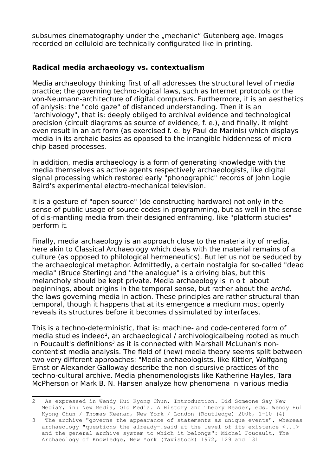subsumes cinematography under the "mechanic" Gutenberg age. Images recorded on celluloid are technically configurated like in printing.

### **Radical media archaeology vs. contextualism**

Media archaeology thinking first of all addresses the structural level of media practice; the governing techno-logical laws, such as Internet protocols or the von-Neumann-architecture of digital computers. Furthermore, it is an aesthetics of anlysis: the "cold gaze" of distanced understanding. Then it is an "archivology", that is: deeply obliged to archival evidence and technological precision (circuit diagrams as source of evidence, f. e.), and finally, it might even result in an art form (as exercised f. e. by Paul de Marinis) which displays media in its archaic basics as opposed to the intangible hiddenness of microchip based processes.

In addition, media archaeology is a form of generating knowledge with the media themselves as active agents respectively archaeologists, like digital signal processing which restored early "phonographic" records of John Logie Baird's experimental electro-mechanical television.

It is a gesture of "open source" (de-constructing hardware) not only in the sense of public usage of source codes in programming, but as well in the sense of dis-mantling media from their designed enframing, like "platform studies" perform it.

Finally, media archaeology is an approach close to the materiality of media, here akin to Classical Archaeology which deals with the material remains of a culture (as opposed to philological hermeneutics). But let us not be seduced by the archaeological metaphor. Admittedly, a certain nostalgia for so-called "dead media" (Bruce Sterling) and "the analogue" is a driving bias, but this melancholy should be kept private. Media archaeology is n o t about beginnings, about origins in the temporal sense, but rather about the arché, the laws governing media in action. These principles are rather structural than temporal, though it happens that at its emergence a medium most openly reveals its structures before it becomes dissimulated by interfaces.

This is a techno-deterministic, that is: machine- and code-centered form of media studies indeed<sup>[2](#page-1-0)</sup>, an archaeological / archivologicalbeing rooted as much in Foucault's definitions<sup>[3](#page-1-1)</sup> as it is connected with Marshall McLuhan's noncontentist media analysis. The field of (new) media theory seems split between two very different approaches: "Media archaeologists, like Kittler, Wolfgang Ernst or Alexander Galloway describe the non-discursive practices of the techno-cultural archive. Media phenomenologists like Katherine Hayles, Tara McPherson or Mark B. N. Hansen analyze how phenomena in various media

<span id="page-1-0"></span><sup>2</sup> As expressed in Wendy Hui Kyong Chun, Introduction. Did Someone Say New Media?, in: New Media, Old Media. A History and Theory Reader, eds. Wendy Hui Kyong Chun / Thomas Keenan, New York / London (Routledge) 2006, 1-10 (4)

<span id="page-1-1"></span><sup>3</sup> The archive "governs the appearance of statements as unique events", whereas archaeology "questions the already-.said at the level of its existence <...> and the general archive system to which it belongs": Michel Foucault, The Archaeology of Knowledge, New York (Tavistock) 1972, 129 and 131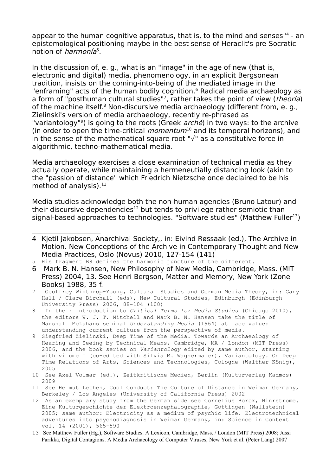appear to the human cognitive apparatus, that is, to the mind and senses"<sup>[4](#page-2-0)</sup> - an epistemological positioning maybe in the best sense of Heraclit's pre-Socratic notion of *harmonía*<sup>[5](#page-2-1)</sup>.

In the discussion of, e. g., what is an "image" in the age of new (that is, electronic and digital) media, phenomenology, in an explicit Bergsonean tradition, insists on the coming-into-being of the mediated image in the "enframing" acts of the human bodily cognition.<sup>[6](#page-2-2)</sup> Radical media archaeology as a form of "posthuman cultural studies"<sup>[7](#page-2-3)</sup>, rather takes the point of view (*theoría*) of the machine itself.<sup>[8](#page-2-4)</sup> Non-discursive media archaeology (different from, e. g., Zielinski's version of media archaeology, recently re-phrased as "variantology"<sup>[9](#page-2-5)</sup>) is going to the roots (Greek *arché*) in two ways: to the archive (in order to open the time-critical *momentum*<sup>[10](#page-2-6)</sup> and its temporal horizons), and in the sense of the mathematical square root "√" as a constitutive force in algorithmic, techno-mathematical media.

Media archaeology exercises a close examination of technical media as they actually operate, while maintaining a hermeneutially distancing look (akin to the "passion of distance" which Friedrich Nietzsche once declaired to be his method of analysis). $<sup>11</sup>$  $<sup>11</sup>$  $<sup>11</sup>$ </sup>

Media studies acknowledge both the non-human agencies (Bruno Latour) and their discursive dependencies<sup>[12](#page-2-8)</sup> but tends to privilege rather semiotic than signal-based approaches to technologies. "Software studies" (Matthew Fuller<sup>[13](#page-2-9)</sup>)

<span id="page-2-0"></span><sup>4</sup> Kjetil Jakobsen, Anarchival Society,, in: Eivind Røssaak (ed.), The Archive in Motion. New Conceptions of the Archive in Contemporary Thought and New Media Practices, Oslo (Novus) 2010, 127-154 (141)

<span id="page-2-1"></span><sup>5</sup> His fragment B8 defines the harmonic juncture of the different.

<span id="page-2-2"></span><sup>6</sup> Mark B. N. Hansen, New Philosophy of New Media, Cambridge, Mass. (MIT Press) 2004, 13. See Henri Bergson, Matter and Memory, New York (Zone Books) 1988, 35 f.

<span id="page-2-3"></span><sup>7</sup> Geoffrey Winthrop-Young, Cultural Studies and German Media Theory, in: Gary Hall / Clare Birchall (eds), New Cultural Studies, Edinburgh (Edinburgh University Press) 2006, 88-104 (100)

<span id="page-2-4"></span><sup>8</sup> In their introduction to *Critical Terms for Media Studies* (Chicago 2010), the editors W. J. T. Mitchell and Mark B. N. Hansen take the title of Marshall McLuhans seminal *Understanding Media* (1964) at face value: understanding current culture from the perspective of media.

<span id="page-2-5"></span><sup>9</sup> Siegfried Zielinski, Deep Time of the Media. Towards an Archaeology of Hearing and Seeing by Technical Means, Cambridge, MA / London (MIT Press) 2006, and the book series on *Variantology* edited by same author, starting with vilume I (co-edited with Silvia M. Wagnermaier), Variantology. On Deep Time Relations of Arts, Sciences and Technologies, Cologne (Walther König), 2005

<span id="page-2-6"></span><sup>10</sup> See Axel Volmar (ed.), Zeitkritische Medien, Berlin (Kulturverlag Kadmos) 2009

<span id="page-2-7"></span><sup>11</sup> See Helmut Lethen, Cool Conduct: The Culture of Distance in Weimar Germany, Berkeley / Los Angeles (University of California Press) 2002

<span id="page-2-8"></span><sup>12</sup> As an exemplary study from the German side see Cornelius Borck, Hinrströme. Eine Kulturgeschichte der Elektroenzephalographie, Göttingen (Wallstein) 2005; same author: Electricity as a medium of psychic life. Electrotechnical adventures into psychodiagnosis in Weimar Germany, in: Science in Context vol. 14 (2001), 565-590

<span id="page-2-9"></span><sup>13</sup> See Matthew Fuller (Hg.), Software Studies. A Lexicon, Cambridge, Mass. / London (MIT Press) 2008; Jussi Parikka, Digital Contagions. A Media Archaeology of Computer Viruses, New York et al. (Peter Lang) 2007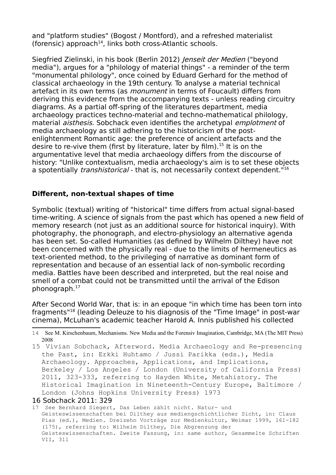and "platform studies" (Bogost / Montford), and a refreshed materialist (forensic) approach<sup>[14](#page-3-0)</sup>, links both cross-Atlantic schools.

Siegfried Zielinski, in his book (Berlin 2012) *Jenseit der Medien* ("beyond media"), argues for a "philology of material things" - a reminder of the term "monumental philology", once coined by Eduard Gerhard for the method of classical archaeology in the 19th century. To analyse a material technical artefact in its own terms (as *monument* in terms of Foucault) differs from deriving this evidence from the accompanying texts - unless reading circuitry diagrams. As a partial off-spring of the literatures department, media archaeology practices techno-material and techno-mathematical philology, material *aisthesis*. Sobchack even identifies the archetypal *emplotment* of media archaeology as still adhering to the historicism of the postenlightenment Romantic age: the preference of ancient artefacts and the desire to re-vive them (first by literature, later by film).<sup>[15](#page-3-1)</sup> It is on the argumentative level that media archaeology differs from the discourse of history: "Unlike contextualism, media archaeology's aim is to set these objects a spotentially *transhistorical* - that is, not necessarily context dependent.<sup>"[16](#page-3-2)</sup>

### **Different, non-textual shapes of time**

Symbolic (textual) writing of "historical" time differs from actual signal-based time-writing. A science of signals from the past which has opened a new field of memory research (not just as an additional source for historical inquiry). With photography, the phonograph, and electro-physiology an alternative agenda has been set. So-called Humanities (as defined by Wilhelm Dilthey) have not been concerned with the physically real - due to the limits of hermeneutics as text-oriented method, to the privileging of narrative as dominant form of representation and because of an essential lack of non-symbolic recording media. Battles have been described and interpreted, but the real noise and smell of a combat could not be transmitted until the arrival of the Edison phonograph.[17](#page-3-3)

After Second World War, that is: in an epoque "in which time has been torn into fragments"<sup>18</sup> (leading Deleuze to his diagnosis of the "Time Image" in post-war cinema), McLuhan's academic teacher Harold A. Innis published his collected

<span id="page-3-1"></span>15 Vivian Sobchack, Afterword. Media Archaeology and Re-presencing the Past, in: Erkki Huhtamo / Jussi Parikka (eds.), Media Archaeology. Approaches, Applications, and Implications, Berkeley / Los Angeles / London (University of California Press) 2011, 323-333, referring to Hayden White, Metahistory. The Historical Imagination in Nineteenth-Century Europe, Baltimore / London (Johns Hopkins University Press) 1973

#### <span id="page-3-2"></span>16 Sobchack 2011: 329

<span id="page-3-3"></span>17 See Bernhard Siegert, Das Leben zählt nicht. Natur- und Geisteswissenschaften bei Dilthey aus mediengschichtlicher Sicht, in: Claus Pias (ed.), Medien. Dreizehn Vorträge zur Medienkultur, Weimar 1999, 161-182 (175), referring to: Wilhelm Dilthey, Die Abgrenzung der Geisteswissenschaften. Zweite Fassung, in: same author, Gesammelte Schriften VII, 311

<span id="page-3-0"></span><sup>14</sup> See M. Kirschenbaum, Mechanisms. New Media and the Forensiv Imagination, Cambridge, MA (The MIT Press) 2008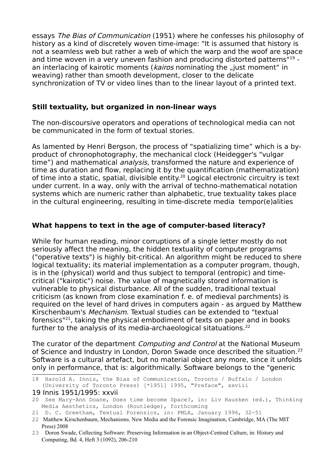essays The Bias of Communication (1951) where he confesses his philosophy of history as a kind of discretely woven time-image: "It is assumed that history is not a seamless web but rather a web of which the warp and the woof are space and time woven in a very uneven fashion and producing distorted patterns"<sup>[19](#page-4-0)</sup> an interlacing of kairotic moments (kairos nominating the "just moment" in weaving) rather than smooth development, closer to the delicate synchronization of TV or video lines than to the linear layout of a printed text.

### **Still textuality, but organized in non-linear ways**

The non-discoursive operators and operations of technological media can not be communicated in the form of textual stories.

As lamented by Henri Bergson, the process of "spatializing time" which is a byproduct of chronophotography, the mechanical clock (Heidegger's "vulgar time") and mathematical *analysis*, transformed the nature and experience of time as duration and flow, replacing it by the quantification (mathematization) of time into a static, spatial, divisible entity.<sup>[20](#page-4-1)</sup> Logical electronic circuitry is text under current. In a way, only with the arrival of techno-mathematical notation systems which are numeric rather than alphabetic, true textuality takes place in the cultural engineering, resulting in time-discrete media tempor(e)alities

# **What happens to text in the age of computer-based literacy?**

While for human reading, minor corruptions of a single letter mostly do not seriously affect the meaning, the hidden textuality of computer programs ("operative texts") is highly bit-critical. An algorithm might be reduced to shere logical textuality; its material implementation as a computer program, though, is in the (physical) world and thus subject to temporal (entropic) and timecritical ("kairotic") noise. The value of magnetically stored information is vulnerable to physical disturbance. All of the sudden, traditional textual criticism (as known from close examination f. e. of medieval parchments) is required on the level of hard drives in computers again - as argued by Matthew Kirschenbaum's Mechanism. Textual studies can be extended to "textual forensics"[21](#page-4-2), taking the physical embodiment of texts on paper and in books further to the analysis of its media-archaeological sitatuations.<sup>[22](#page-4-3)</sup>

The curator of the department *Computing and Control* at the National Museum of Science and Industry in London, Doron Swade once described the situation.<sup>[23](#page-4-4)</sup> Software is a cultural artefact, but no material object any more, since it unfolds only in performance, that is: algorithmically. Software belongs to the "generic

<sup>18</sup> Harold A. Innis, the Bias of Communication, Toronto / Buffalo / London (University of Toronto Press) [\*1951] 1995, "Preface", xxviii

<span id="page-4-0"></span><sup>19</sup> Innis 1951/1995: xxvii

<span id="page-4-1"></span><sup>20</sup> See Mary-Ann Doane, Does time become Space?, in: Liv Hausken (ed.), Thinking Media Aesthetics, London (Routledge), forthcoming

<span id="page-4-2"></span><sup>21</sup> D. C. Greetham, Textual Forensics, in: PMLA, January 1996, 32-51

<span id="page-4-3"></span><sup>22</sup> Matthew Kirschenbaum, Mechanisms. New Media and the Forensic Imagination, Cambridge, MA (The MIT Press) 2008

<span id="page-4-4"></span><sup>23</sup> Doron Swade, Collecting Software: Preserving Information in an Object-Centred Culture, in: History and Computing, Bd. 4, Heft 3 (1092), 206-210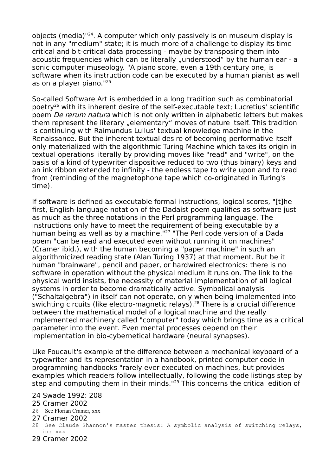objects (media)"[24](#page-5-0). A computer which only passively is on museum display is not in any "medium" state; it is much more of a challenge to display its timecritical and bit-critical data processing - maybe by transposing them into acoustic frequencies which can be literally "understood" by the human ear - a sonic computer museology. "A piano score, even a 19th century one, is software when its instruction code can be executed by a human pianist as well as on a player piano."[25](#page-5-1)

So-called Software Art is embedded in a long tradition such as combinatorial poetry[26](#page-5-2) with its inherent desire of the self-executable text; Lucretius' scientific poem *De rerum natura* which is not only written in alphabetic letters but makes them represent the literary "elementary" moves of nature itself. This tradition is continuing with Raimundus Lullus' textual knowledge machine in the Renaissance. But the inherent textual desire of becoming performative itself only materialized with the algorithmic Turing Machine which takes its origin in textual operations literally by providing moves like "read" and "write", on the basis of a kind of typewriter dispositive reduced to two (thus binary) keys and an ink ribbon extended to infinity - the endless tape to write upon and to read from (reminding of the magnetophone tape which co-originated in Turing's time).

If software is defined as executable formal instructions, logical scores, "[t]he first, English-language notation of the Dadaist poem qualifies as software just as much as the three notations in the Perl programming language. The instructions only have to meet the requirement of being executable by a human being as well as by a machine.<sup>"[27](#page-5-3)</sup> "The Perl code version of a Dada poem "can be read and executed even without running it on machines" (Cramer ibid.), with the human becoming a "paper machine" in such an algorithmicized reading state (Alan Turing 1937) at that moment. But be it human "brainware", pencil and paper, or hardwired electronics: there is no software in operation without the physical medium it runs on. The link to the physical world insists, the necessity of material implementation of all logical systems in order to become dramatically active. Symbolical analysis ("Schaltalgebra") in itself can not operate, only when being implemented into swichting circuits (like electro-magnetic relays).<sup>[28](#page-5-4)</sup> There is a crucial difference between the mathematical model of a logical machine and the really implemented machinery called "computer" today which brings time as a critical parameter into the event. Even mental processes depend on their implementation in bio-cybernetical hardware (neural synapses).

Like Foucault's example of the difference between a mechanical keyboard of a typewriter and its representation in a handbook, printed computer code in programming handbooks "rarely ever executed on machines, but provides examples which readers follow intellectually, following the code listings step by step and computing them in their minds."<sup>[29](#page-5-5)</sup> This concerns the critical edition of

<span id="page-5-0"></span>24 Swade 1992: 208

- <span id="page-5-2"></span>26 See Florian Cramer, xxx
- <span id="page-5-3"></span>27 Cramer 2002
- <span id="page-5-4"></span>28 See Claude Shannon's master thesis: A symbolic analysis of switching relays, in: xxx
- <span id="page-5-5"></span>29 Cramer 2002

<span id="page-5-1"></span><sup>25</sup> Cramer 2002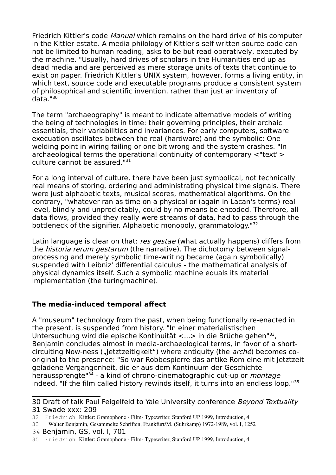Friedrich Kittler's code *Manual* which remains on the hard drive of his computer in the Kittler estate. A media philology of Kittler's self-written source code can not be limited to human reading, asks to be but read operatively, executed by the machine. "Usually, hard drives of scholars in the Humanities end up as dead media and are perceived as mere storage units of texts that continue to exist on paper. Friedrich Kittler's UNIX system, however, forms a living entity, in which text, source code and executable programs produce a consistent system of philosophical and scientific invention, rather than just an inventory of data."[30](#page-6-0)

The term "archaeography" is meant to indicate alternative models of writing the being of technologies in time: their governing principles, their archaic essentials, their variabilities and invariances. For early computers, software execuation oscillates between the real (hardware) and the symbolic: One welding point in wiring failing or one bit wrong and the system crashes. "In archaeological terms the operational continuity of contemporary <"text"> culture cannot be assured."[31](#page-6-1)

For a long interval of culture, there have been just symbolical, not technically real means of storing, ordering and administrating physical time signals. There were just alphabetic texts, musical scores, mathematical algorithms. On the contrary, "whatever ran as time on a physical or (again in Lacan's terms) real level, blindly and unpredictably, could by no means be encoded. Therefore, all data flows, provided they really were streams of data, had to pass through the bottleneck of the signifier. Alphabetic monopoly, grammatology."<sup>[32](#page-6-2)</sup>

Latin language is clear on that: res gestae (what actually happens) differs from the historia rerum gestarum (the narrative). The dichotomy between signalprocessing and merely symbolic time-writing became (again symbolically) suspended with Leibniz' differential calculus - the mathematical analysis of physical dynamics itself. Such a symbolic machine equals its material implementation (the turingmachine).

# **The media-induced temporal affect**

A "museum" technology from the past, when being functionally re-enacted in the present, is suspended from history. "In einer materialistischen Untersuchung wird die epische Kontinuität <...> in die Brüche gehen<sup>"[33](#page-6-3)</sup>, Benjamin concludes almost in media-archaeological terms, in favor of a shortcircuiting Now-ness ("Jetztzeitigkeit") where antiquity (the  $arché$ ) becomes cooriginal to the presence: "So war Robbespierre das antike Rom eine mit Jetztzeit geladene Vergangenheit, die er aus dem Kontinuum der Geschichte heraussprengte<sup>"[34](#page-6-4)</sup> - a kind of chrono-cinematographic cut-up or *montage* indeed. "If the film called history rewinds itself, it turns into an endless loop."[35](#page-6-5)

<span id="page-6-4"></span>34 Benjamin, GS, vol. I, 701

<span id="page-6-1"></span><span id="page-6-0"></span><sup>30</sup> Draft of talk Paul Feigelfeld to Yale University conference Beyond Textuality 31 Swade xxx: 209

<span id="page-6-2"></span><sup>32</sup> Friedrich Kittler: Gramophone - Film- Typewriter, Stanford UP 1999, Introduction, 4

<span id="page-6-3"></span><sup>33</sup> Walter Benjamin, Gesammelte Schriften, Frankfurt/M. (Suhrkamp) 19721989, vol. I, 1252

<span id="page-6-5"></span><sup>35</sup> Friedrich Kittler: Gramophone - Film- Typewriter, Stanford UP 1999, Introduction, 4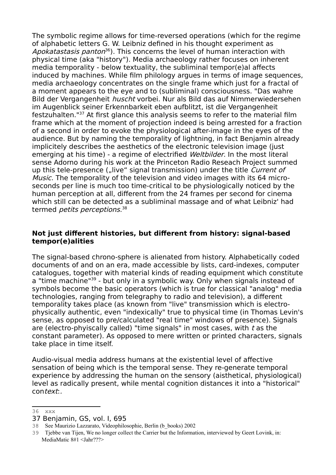The symbolic regime allows for time-reversed operations (which for the regime of alphabetic letters G. W. Leibniz defined in his thought experiment as Apokatastasis panton<sup>[36](#page-7-0)</sup>). This concerns the level of human interaction with physical time (aka "history"). Media archaeology rather focuses on inherent media temporality - below textuality, the subliminal tempor(e)al affects induced by machines. While film philology argues in terms of image sequences, media archaeology concentrates on the single frame which just for a fractal of a moment appears to the eye and to (subliminal) consciousness. "Das wahre Bild der Vergangenheit *huscht* vorbei. Nur als Bild das auf Nimmerwiedersehen im Augenblick seiner Erkennbarkeit eben aufblitzt, ist die Vergangenheit festzuhalten."[37](#page-7-1) At first glance this analysis seems to refer to the material film frame which at the moment of projection indeed is being arrested for a fraction of a second in order to evoke the physiological after-image in the eyes of the audience. But by naming the temporality of lightning, in fact Benjamin already implicitely describes the aesthetics of the electronic television image (just emerging at his time) - a regime of electrified Weltbilder. In the most literal sense Adorno during his work at the Princeton Radio Reseach Project summed up this tele-presence ("live" signal transmission) under the title Current of Music. The temporality of the television and video images with its 64 microseconds per line is much too time-critical to be physiologically noticed by the human perception at all, different from the 24 frames per second for cinema which still can be detected as a subliminal massage and of what Leibniz' had termed *petits perceptions*.<sup>[38](#page-7-2)</sup>

### **Not just different histories, but different from history: signal-based tempor(e)alities**

The signal-based chrono-sphere is alienated from history. Alphabetically coded documents of and on an era, made accessible by lists, card-indexes, computer catalogues, together with material kinds of reading equipment which constitute a "time machine"<sup>[39](#page-7-3)</sup> - but only in a symbolic way. Only when signals instead of symbols become the basic operators (which is true for classical "analog" media technologies, ranging from telegraphy to radio and television), a different temporality takes place (as known from "live" transmission which is electrophysically authentic, even "indexically" true to physical time (in Thomas Levin's sense, as opposed to pre/calculated "real time" windows of presence). Signals are (electro-phyiscally called) "time signals" in most cases, with t as the constant parameter). As opposed to mere written or printed characters, signals take place in time itself.

Audio-visual media address humans at the existential level of affective sensation of being which is the temporal sense. They re-generate temporal experience by addressing the human on the sensory (aisthetical, physiological) level as radically present, while mental cognition distances it into a "historical" context:.

<span id="page-7-0"></span><sup>36</sup> xxx

<span id="page-7-1"></span><sup>37</sup> Benjamin, GS, vol. I, 695

<span id="page-7-2"></span><sup>38</sup> See Maurizio Lazzarato, Videophilosophie, Berlin (b\_books) 2002

<span id="page-7-3"></span><sup>39</sup> Tjebbe van Tijen, We no longer collect the Carrier but the Information, interviewed by Geert Lovink, in: MediaMatic 8#1 <Jahr???>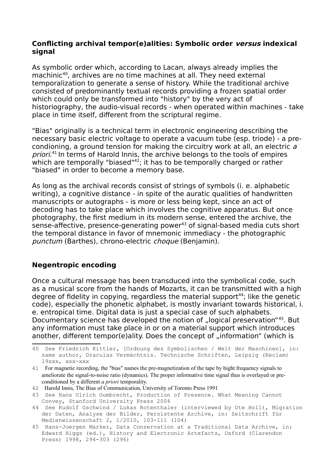### **Conflicting archival tempor(e)alities: Symbolic order versus indexical signal**

As symbolic order which, according to Lacan, always already implies the machinic<sup>[40](#page-8-0)</sup>, archives are no time machines at all. They need external temporalization to generate a sense of history. While the traditional archive consisted of predominantly textual records providing a frozen spatial order which could only be transformed into "history" by the very act of historiography, the audio-visual records - when operated within machines - take place in time itself, different from the scriptural regime.

"Bias" originally is a technical term in electronic engineering describing the necessary basic electric voltage to operate a vacuum tube (esp. triode) - a precondioning, a ground tension for making the circuitry work at all, an electric <sup>a</sup> priori.<sup>[41](#page-8-1)</sup> In terms of Harold Innis, the archive belongs to the tools of empires which are temporally "biased"<sup>[42](#page-8-2)</sup>; it has to be temporally charged or rather "biased" in order to become a memory base.

As long as the archival records consist of strings of symbols (i. e. alphabetic writing), a cognitive distance - in spite of the auratic qualities of handwritten manuscripts or autographs - is more or less being kept, since an act of decoding has to take place which involves the cognitive apparatus. But once photography, the first medium in its modern sense, entered the archive, the sense-affective, presence-generating power<sup>[43](#page-8-3)</sup> of signal-based media cuts short the temporal distance in favor of mnemonic immediacy - the photographic punctum (Barthes), chrono-electric choque (Benjamin).

### **Negentropic encoding**

Once a cultural message has been transduced into the symbolical code, such as a musical score from the hands of Mozarts, it can be transmitted with a high degree of fidelity in copying, regardless the material support<sup>[44](#page-8-4)</sup>; like the genetic code), especially the phonetic alphabet, is mostly invariant towards historical, i. e. entropical time. Digital data is just a special case of such alphabets. Documentary science has developed the notion of "logical preservation"<sup>[45](#page-8-5)</sup>. But any information must take place in or on a material support which introduces another, different tempor(e)ality. Does the concept of "information" (which is

<span id="page-8-0"></span><sup>40</sup> See Friedrich Kittler, [Ordnung des Symbolischen / Welt der Maschinen], in: same author, Draculas Vermächtnis. Technische Schriften, Leipzig (Reclam) 19xxx, xxx-xxx

<span id="page-8-1"></span><sup>41</sup> For magnetic recording, the "bias" names the pre-magnetization of the tape by hight frequency signals to ameliorate the signal-to-noise ratio (dynamics). The proper informative time signal thus is overlayed or preconditioned by a different *a priori* temporality.

<span id="page-8-2"></span><sup>42</sup> Harold Innis, The Bias of Communication, University of Toronto Press 1991

<span id="page-8-3"></span><sup>43</sup> See Hans Ulrich Gumbrecht, Production of Presence. What Meaning Cannot Convey, Stanford University Press 2004

<span id="page-8-4"></span><sup>44</sup> See Rudolf Gschwind / Lukas Rotenthaler (interviewed by Ute Holl), Migration der Daten, Analyse der Bilder, Persistente Archive, in: Zeitschrift für Medienwissenschaft 2, 1/2010, 103-111 (104)

<span id="page-8-5"></span><sup>45</sup> Hans-Joergen Marker, Data Conservation at a Traditional Data Archive, in: Edward Higgs (ed.), History and Electronic Artefacts, Oxford (Clarendon Press) 1998, 294-303 (296)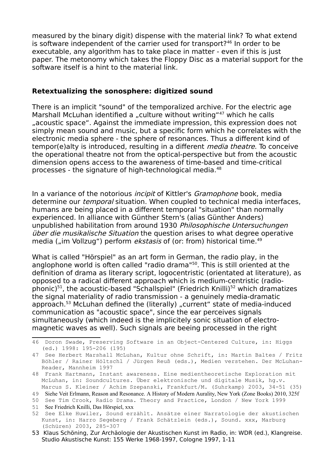measured by the binary digit) dispense with the material link? To what extend is software independent of the carrier used for transport?<sup>[46](#page-9-0)</sup> In order to be executable, any algorithm has to take place in matter - even if this is just paper. The metonomy which takes the Floppy Disc as a material support for the software itself is a hint to the material link.

### **Retextualizing the sonosphere: digitized sound**

There is an implicit "sound" of the temporalized archive. For the electric age Marshall McLuhan identified a "culture without writing"<sup>[47](#page-9-1)</sup> which he calls "acoustic space". Against the immediate impression, this expression does not simply mean sound and music, but a specific form which he correlates with the electronic media sphere - the sphere of resonances. Thus a different kind of tempor(e)alty is introduced, resulting in a different media theatre. To conceive the operational theatre not from the optical-perspective but from the acoustic dimension opens access to the awareness of time-based and time-critical processes - the signature of high-technological media.[48](#page-9-2)

In a variance of the notorious *incipit* of Kittler's *Gramophone* book, media determine our *temporal* situation. When coupled to technical media interfaces, humans are being placed in a different temporal "situation" than normally experienced. In alliance with Günther Stern's (alias Günther Anders) unpublished habilitation from around 1930 Philosophische Untersuchungen über die musikalische Situation the question arises to what degree operative media ("im Vollzug") perform *ekstasis* of (or: from) historical time.<sup>[49](#page-9-3)</sup>

What is called "Hörspiel" as an art form in German, the radio play, in the anglophone world is often called "radio drama"[50](#page-9-4). This is still oriented at the definition of drama as literary script, logocentristic (orientated at literature), as opposed to a radical different approach which is medium-centristic (radio-phonic)<sup>[51](#page-9-5)</sup>, the acoustic-based "Schallspiel" (Friedrich Knilli)<sup>[52](#page-9-6)</sup> which dramatizes the signal materiality of radio transmission - a genuinely media-dramatic approach.<sup>[53](#page-9-7)</sup> McLuhan defined the (literally) "current" state of media-induced communication as "acoustic space", since the ear perceives signals simultaneously (which indeed is the implicitely sonic situation of electromagnetic waves as well). Such signals are beeing processed in the right

<span id="page-9-0"></span><sup>46</sup> Doron Swade, Preserving Software in an Object-Centered Culture, in: Higgs (ed.) 1998: 195-206 (195)

<span id="page-9-1"></span><sup>47</sup> See Herbert Marshall McLuhan, Kultur ohne Schrift, in: Martin Baltes / Fritz Böhler / Rainer Höltschl / Jürgen Reuß (eds.), Medien verstehen. Der McLuhan-Reader, Mannheim 1997

<span id="page-9-2"></span><sup>48</sup> Frank Hartmann, Instant awareness. Eine medientheoretische Exploration mit McLuhan, in: Soundcultures. Über elektronische und digitale Musik, hg.v. Marcus S. Kleiner / Achim Szepanski, Frankfurt/M. (Suhrkamp) 2003, 34-51 (35)

<span id="page-9-3"></span><sup>49</sup> Siehe Veit Erlmann, Reason and Resonance. A History of Modern Aurality, New York (Zone Books) 2010, 325f

<span id="page-9-5"></span><span id="page-9-4"></span><sup>50</sup> See Tim Crook, Radio Drama. Theory and Practice, London / New York 1999 51 See Friedrich Knilli, Das Hörspiel, xxx

<span id="page-9-6"></span><sup>52</sup> See Elke Huwiler, Sound erzählt. Ansätze einer Narratologie der akustischen Kunst, in: Harro Segeberg / Frank Schätzlein (eds.), Sound. xxx, Marburg (Schüren) 2003, 285-307

<span id="page-9-7"></span><sup>53</sup> Klaus Schöning, Zur Archäologie der Akustischen Kunst im Radio, in: WDR (ed.), Klangreise. Studio Akustische Kunst: 155 Werke 1968-1997, Cologne 1997, 1-11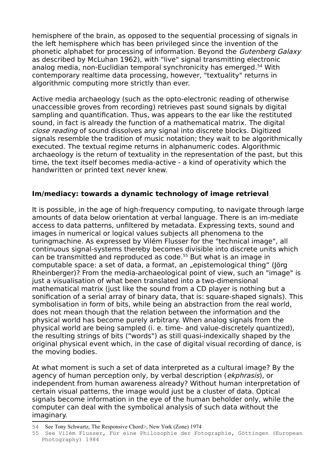hemisphere of the brain, as opposed to the sequential processing of signals in the left hemisphere which has been privileged since the invention of the phonetic alphabet for processing of information. Beyond the Gutenberg Galaxy as described by McLuhan 1962), with "live" signal transmitting electronic analog media, non-Euclidian temporal synchronicity has emerged.<sup>[54](#page-10-0)</sup> With contemporary realtime data processing, however, "textuality" returns in algorithmic computing more strictly than ever.

Active media archaeology (such as the opto-electronic reading of otherwise unaccessible groves from recording) retrieves past sound signals by digital sampling and quantification. Thus, was appears to the ear like the restituted sound, in fact is already the function of a mathematical matrix. The digital close reading of sound dissolves any signal into discrete blocks. Digitized signals resemble the tradition of music notation; they wait to be algorithmically executed. The textual regime returns in alphanumeric codes. Algorithmic archaeology is the return of textuality in the representation of the past, but this time, the text itself becomes media-active - a kind of operativity which the handwritten or printed text never knew.

### **Im/mediacy: towards a dynamic technology of image retrieval**

It is possible, in the age of high-frequency computing, to navigate through large amounts of data below orientation at verbal language. There is an im-mediate access to data patterns, unfiltered by metadata. Expressing texts, sound and images in numerical or logical values subjects all phenomena to the turingmachine. As expressed by Vilém Flusser for the "technical image", all continuous signal-systems thereby becomes divisible into discrete units which can be transmitted and reproduced as code.[55](#page-10-1) But what is an image in computable space: a set of data, a format, an "epistemological thing" (Jörg Rheinberger)? From the media-archaeological point of view, such an "image" is just a visualisation of what been translated into a two-dimensional mathematical matrix (just like the sound from a CD player is nothing but a sonification of a serial array of binary data, that is: square-shaped signals). This symbolisation in form of bits, while being an abstraction from the real world, does not mean though that the relation between the information and the physical world has become purely arbitrary. When analog signals from the physical world are being sampled (i. e. time- and value-discretely quantized), the resulting strings of bits ("words") as still quasi-indexically shaped by the original physical event which, in the case of digital visual recording of dance, is the moving bodies.

At what moment is such a set of data interpreted as a cultural image? By the agency of human perception only, by verbal description (*ekphrasis*), or independent from human awareness already? Without human interpretation of certain visual patterns, the image would just be a cluster of data. Optical signals become information in the eye of the human beholder only, while the computer can deal with the symbolical analysis of such data without the imaginary.

<span id="page-10-0"></span><sup>54</sup> See Tony Schwartz, The Responsive Chord>, New York (Zone) 1974

<span id="page-10-1"></span><sup>55</sup> See Vilém Flusser, Für eine Philosophie der Fotographie, Göttingen (European Photography) 1984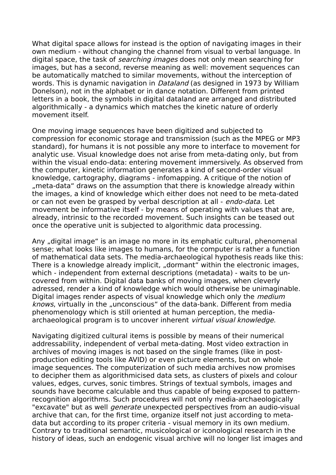What digital space allows for instead is the option of navigating images in their own medium - without changing the channel from visual to verbal language. In digital space, the task of *searching images* does not only mean searching for images, but has a second, reverse meaning as well: movement sequences can be automatically matched to similar movements, without the interception of words. This is dynamic navigation in *Dataland* (as designed in 1973 by William Donelson), not in the alphabet or in dance notation. Different from printed letters in a book, the symbols in digital dataland are arranged and distributed algorithmically - a dynamics which matches the kinetic nature of orderly movement itself.

One moving image sequences have been digitized and subjected to compression for economic storage and transmission (such as the MPEG or MP3 standard), for humans it is not possible any more to interface to movement for analytic use. Visual knowledge does not arise from meta-dating only, but from within the visual endo-data: entering movement immersively. As observed from the computer, kinetic information generates a kind of second-order visual knowledge, cartography, diagrams - infomapping. A critique of the notion of " meta-data" draws on the assumption that there is knowledge already within. the images, a kind of knowledge which either does not need to be meta-dated or can not even be grasped by verbal description at all - *endo-data*. Let movement be informative itself - by means of operating with values that are, already, intrinsic to the recorded movement. Such insights can be teased out once the operative unit is subjected to algorithmic data processing.

Any "digital image" is an image no more in its emphatic cultural, phenomenal sense; what looks like images to humans, for the computer is rather a function of mathematical data sets. The media-archaeological hypothesis reads like this: There is a knowledge already implicit, "dormant" within the electronic images, which - independent from external descriptions (metadata) - waits to be uncovered from within. Digital data banks of moving images, when cleverly adressed, render a kind of knowledge which would otherwise be unimaginable. Digital images render aspects of visual knowledge which only the *medium* knows, virtually in the "unconscious" of the data-bank. Different from media phenomenology which is still oriented at human perception, the mediaarchaeological program is to uncover inherent virtual visual knowledge.

Navigating digitized cultural items is possible by means of their numerical addressability, independent of verbal meta-dating. Most video extraction in archives of moving images is not based on the single frames (like in postproduction editing tools like AVID) or even picture elements, but on whole image sequences. The computerization of such media archives now promises to decipher them as algorithmicised data sets, as clusters of pixels and colour values, edges, curves, sonic timbres. Strings of textual symbols, images and sounds have become calculable and thus capable of being exposed to patternrecognition algorithms. Such procedures will not only media-archaeologically "excavate" but as well *generate* unexpected perspectives from an audio-visual archive that can, for the first time, organize itself not just according to metadata but according to its proper criteria - visual memory in its own medium. Contrary to traditional semantic, musicological or iconological research in the history of ideas, such an endogenic visual archive will no longer list images and